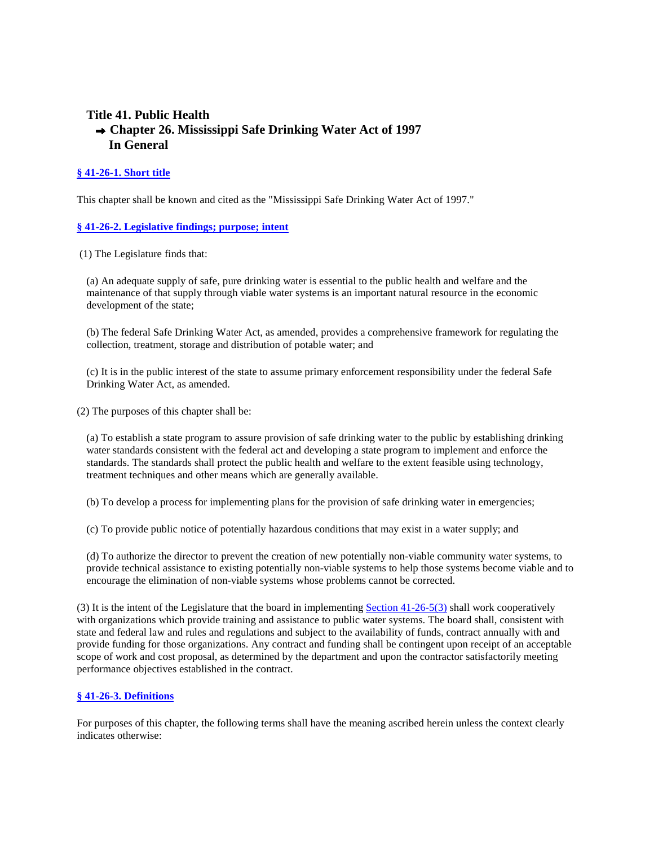# **Title 41. Public Health Chapter 26. Mississippi Safe Drinking Water Act of 1997 In General**

# **§ 41-26-1. Short title**

This chapter shall be known and cited as the "Mississippi Safe Drinking Water Act of 1997."

# **§ 41-26-2. Legislative findings; purpose; intent**

(1) The Legislature finds that:

(a) An adequate supply of safe, pure drinking water is essential to the public health and welfare and the maintenance of that supply through viable water systems is an important natural resource in the economic development of the state;

(b) The federal Safe Drinking Water Act, as amended, provides a comprehensive framework for regulating the collection, treatment, storage and distribution of potable water; and

(c) It is in the public interest of the state to assume primary enforcement responsibility under the federal Safe Drinking Water Act, as amended.

(2) The purposes of this chapter shall be:

(a) To establish a state program to assure provision of safe drinking water to the public by establishing drinking water standards consistent with the federal act and developing a state program to implement and enforce the standards. The standards shall protect the public health and welfare to the extent feasible using technology, treatment techniques and other means which are generally available.

(b) To develop a process for implementing plans for the provision of safe drinking water in emergencies;

(c) To provide public notice of potentially hazardous conditions that may exist in a water supply; and

(d) To authorize the director to prevent the creation of new potentially non-viable community water systems, to provide technical assistance to existing potentially non-viable systems to help those systems become viable and to encourage the elimination of non-viable systems whose problems cannot be corrected.

(3) It is the intent of the Legislature that the board in implementing Section 41-26-5(3) shall work cooperatively with organizations which provide training and assistance to public water systems. The board shall, consistent with state and federal law and rules and regulations and subject to the availability of funds, contract annually with and provide funding for those organizations. Any contract and funding shall be contingent upon receipt of an acceptable scope of work and cost proposal, as determined by the department and upon the contractor satisfactorily meeting performance objectives established in the contract.

# **§ 41-26-3. Definitions**

For purposes of this chapter, the following terms shall have the meaning ascribed herein unless the context clearly indicates otherwise: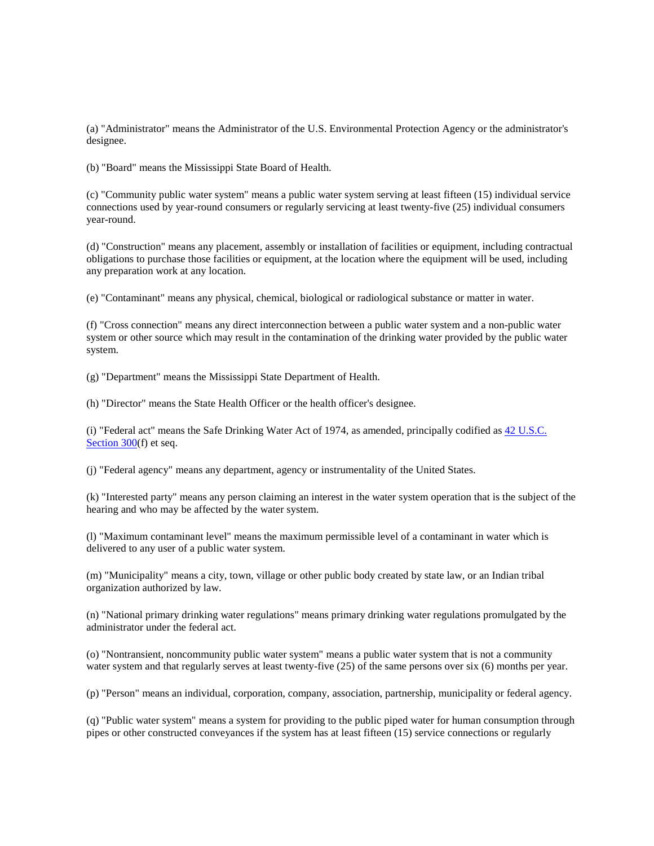(a) "Administrator" means the Administrator of the U.S. Environmental Protection Agency or the administrator's designee.

(b) "Board" means the Mississippi State Board of Health.

(c) "Community public water system" means a public water system serving at least fifteen (15) individual service connections used by year-round consumers or regularly servicing at least twenty-five (25) individual consumers year-round.

(d) "Construction" means any placement, assembly or installation of facilities or equipment, including contractual obligations to purchase those facilities or equipment, at the location where the equipment will be used, including any preparation work at any location.

(e) "Contaminant" means any physical, chemical, biological or radiological substance or matter in water.

(f) "Cross connection" means any direct interconnection between a public water system and a non-public water system or other source which may result in the contamination of the drinking water provided by the public water system.

(g) "Department" means the Mississippi State Department of Health.

(h) "Director" means the State Health Officer or the health officer's designee.

(i) "Federal act" means the Safe Drinking Water Act of 1974, as amended, principally codified as 42 U.S.C. Section 300(f) et seq.

(j) "Federal agency" means any department, agency or instrumentality of the United States.

(k) "Interested party" means any person claiming an interest in the water system operation that is the subject of the hearing and who may be affected by the water system.

(l) "Maximum contaminant level" means the maximum permissible level of a contaminant in water which is delivered to any user of a public water system.

(m) "Municipality" means a city, town, village or other public body created by state law, or an Indian tribal organization authorized by law.

(n) "National primary drinking water regulations" means primary drinking water regulations promulgated by the administrator under the federal act.

(o) "Nontransient, noncommunity public water system" means a public water system that is not a community water system and that regularly serves at least twenty-five (25) of the same persons over six (6) months per year.

(p) "Person" means an individual, corporation, company, association, partnership, municipality or federal agency.

(q) "Public water system" means a system for providing to the public piped water for human consumption through pipes or other constructed conveyances if the system has at least fifteen (15) service connections or regularly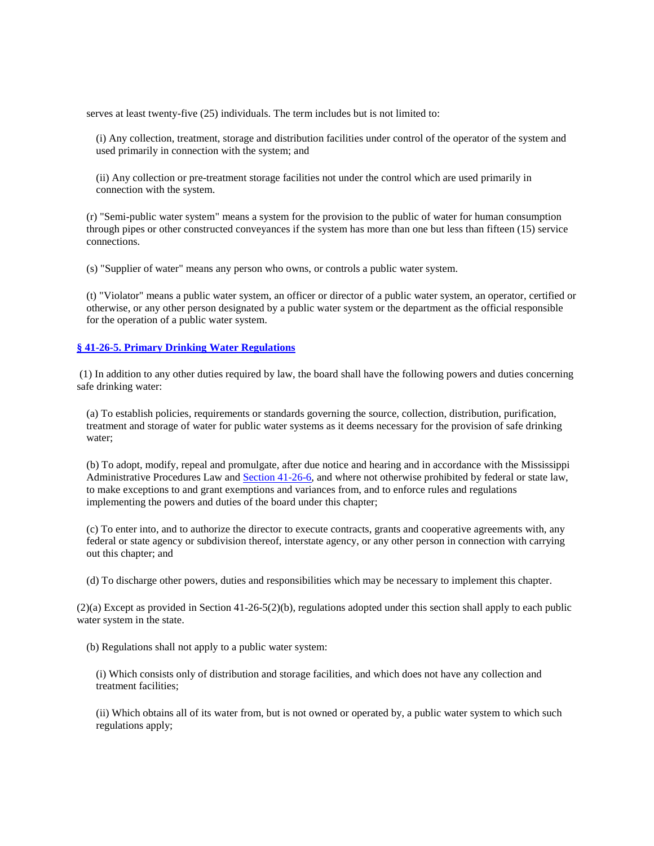serves at least twenty-five (25) individuals. The term includes but is not limited to:

(i) Any collection, treatment, storage and distribution facilities under control of the operator of the system and used primarily in connection with the system; and

(ii) Any collection or pre-treatment storage facilities not under the control which are used primarily in connection with the system.

(r) "Semi-public water system" means a system for the provision to the public of water for human consumption through pipes or other constructed conveyances if the system has more than one but less than fifteen (15) service connections.

(s) "Supplier of water" means any person who owns, or controls a public water system.

(t) "Violator" means a public water system, an officer or director of a public water system, an operator, certified or otherwise, or any other person designated by a public water system or the department as the official responsible for the operation of a public water system.

### **§ 41-26-5. Primary Drinking Water Regulations**

 (1) In addition to any other duties required by law, the board shall have the following powers and duties concerning safe drinking water:

(a) To establish policies, requirements or standards governing the source, collection, distribution, purification, treatment and storage of water for public water systems as it deems necessary for the provision of safe drinking water;

(b) To adopt, modify, repeal and promulgate, after due notice and hearing and in accordance with the Mississippi Administrative Procedures Law and Section 41-26-6, and where not otherwise prohibited by federal or state law, to make exceptions to and grant exemptions and variances from, and to enforce rules and regulations implementing the powers and duties of the board under this chapter;

(c) To enter into, and to authorize the director to execute contracts, grants and cooperative agreements with, any federal or state agency or subdivision thereof, interstate agency, or any other person in connection with carrying out this chapter; and

(d) To discharge other powers, duties and responsibilities which may be necessary to implement this chapter.

(2)(a) Except as provided in Section 41-26-5(2)(b), regulations adopted under this section shall apply to each public water system in the state.

(b) Regulations shall not apply to a public water system:

(i) Which consists only of distribution and storage facilities, and which does not have any collection and treatment facilities;

(ii) Which obtains all of its water from, but is not owned or operated by, a public water system to which such regulations apply;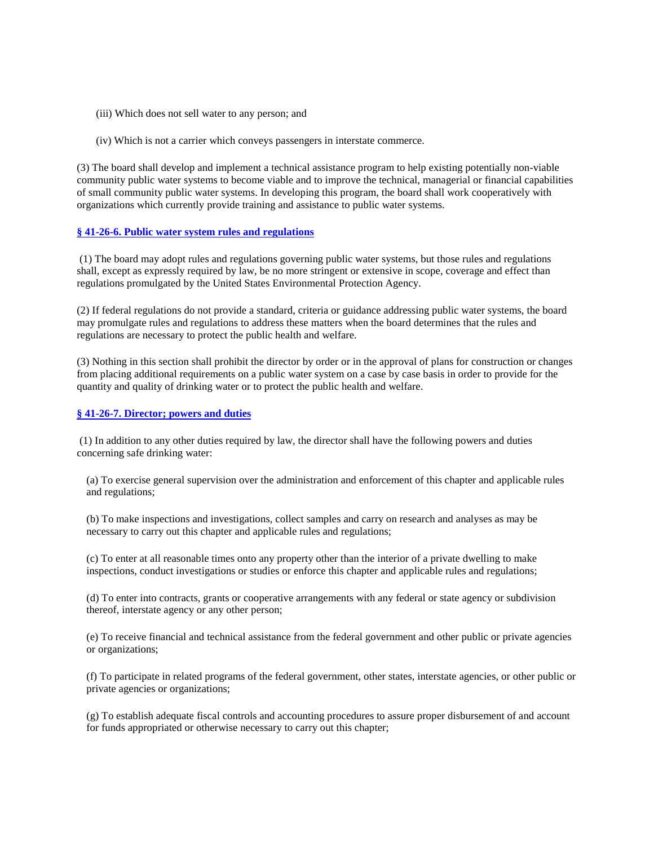- (iii) Which does not sell water to any person; and
- (iv) Which is not a carrier which conveys passengers in interstate commerce.

(3) The board shall develop and implement a technical assistance program to help existing potentially non-viable community public water systems to become viable and to improve the technical, managerial or financial capabilities of small community public water systems. In developing this program, the board shall work cooperatively with organizations which currently provide training and assistance to public water systems.

#### **§ 41-26-6. Public water system rules and regulations**

 (1) The board may adopt rules and regulations governing public water systems, but those rules and regulations shall, except as expressly required by law, be no more stringent or extensive in scope, coverage and effect than regulations promulgated by the United States Environmental Protection Agency.

(2) If federal regulations do not provide a standard, criteria or guidance addressing public water systems, the board may promulgate rules and regulations to address these matters when the board determines that the rules and regulations are necessary to protect the public health and welfare.

(3) Nothing in this section shall prohibit the director by order or in the approval of plans for construction or changes from placing additional requirements on a public water system on a case by case basis in order to provide for the quantity and quality of drinking water or to protect the public health and welfare.

#### **§ 41-26-7. Director; powers and duties**

 (1) In addition to any other duties required by law, the director shall have the following powers and duties concerning safe drinking water:

(a) To exercise general supervision over the administration and enforcement of this chapter and applicable rules and regulations;

(b) To make inspections and investigations, collect samples and carry on research and analyses as may be necessary to carry out this chapter and applicable rules and regulations;

(c) To enter at all reasonable times onto any property other than the interior of a private dwelling to make inspections, conduct investigations or studies or enforce this chapter and applicable rules and regulations;

(d) To enter into contracts, grants or cooperative arrangements with any federal or state agency or subdivision thereof, interstate agency or any other person;

(e) To receive financial and technical assistance from the federal government and other public or private agencies or organizations;

(f) To participate in related programs of the federal government, other states, interstate agencies, or other public or private agencies or organizations;

(g) To establish adequate fiscal controls and accounting procedures to assure proper disbursement of and account for funds appropriated or otherwise necessary to carry out this chapter;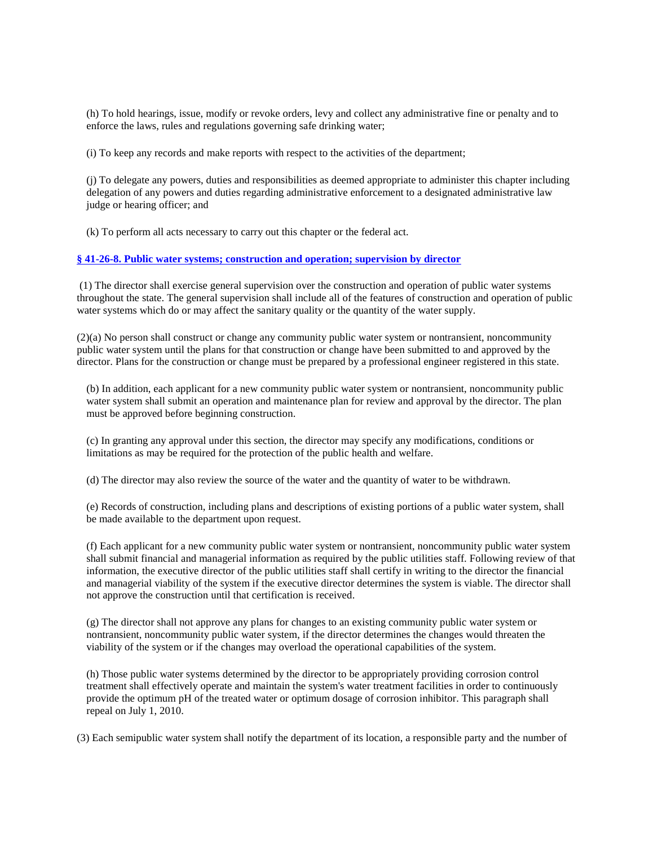(h) To hold hearings, issue, modify or revoke orders, levy and collect any administrative fine or penalty and to enforce the laws, rules and regulations governing safe drinking water;

(i) To keep any records and make reports with respect to the activities of the department;

(j) To delegate any powers, duties and responsibilities as deemed appropriate to administer this chapter including delegation of any powers and duties regarding administrative enforcement to a designated administrative law judge or hearing officer; and

(k) To perform all acts necessary to carry out this chapter or the federal act.

### **§ 41-26-8. Public water systems; construction and operation; supervision by director**

 (1) The director shall exercise general supervision over the construction and operation of public water systems throughout the state. The general supervision shall include all of the features of construction and operation of public water systems which do or may affect the sanitary quality or the quantity of the water supply.

(2)(a) No person shall construct or change any community public water system or nontransient, noncommunity public water system until the plans for that construction or change have been submitted to and approved by the director. Plans for the construction or change must be prepared by a professional engineer registered in this state.

(b) In addition, each applicant for a new community public water system or nontransient, noncommunity public water system shall submit an operation and maintenance plan for review and approval by the director. The plan must be approved before beginning construction.

(c) In granting any approval under this section, the director may specify any modifications, conditions or limitations as may be required for the protection of the public health and welfare.

(d) The director may also review the source of the water and the quantity of water to be withdrawn.

(e) Records of construction, including plans and descriptions of existing portions of a public water system, shall be made available to the department upon request.

(f) Each applicant for a new community public water system or nontransient, noncommunity public water system shall submit financial and managerial information as required by the public utilities staff. Following review of that information, the executive director of the public utilities staff shall certify in writing to the director the financial and managerial viability of the system if the executive director determines the system is viable. The director shall not approve the construction until that certification is received.

(g) The director shall not approve any plans for changes to an existing community public water system or nontransient, noncommunity public water system, if the director determines the changes would threaten the viability of the system or if the changes may overload the operational capabilities of the system.

(h) Those public water systems determined by the director to be appropriately providing corrosion control treatment shall effectively operate and maintain the system's water treatment facilities in order to continuously provide the optimum pH of the treated water or optimum dosage of corrosion inhibitor. This paragraph shall repeal on July 1, 2010.

(3) Each semipublic water system shall notify the department of its location, a responsible party and the number of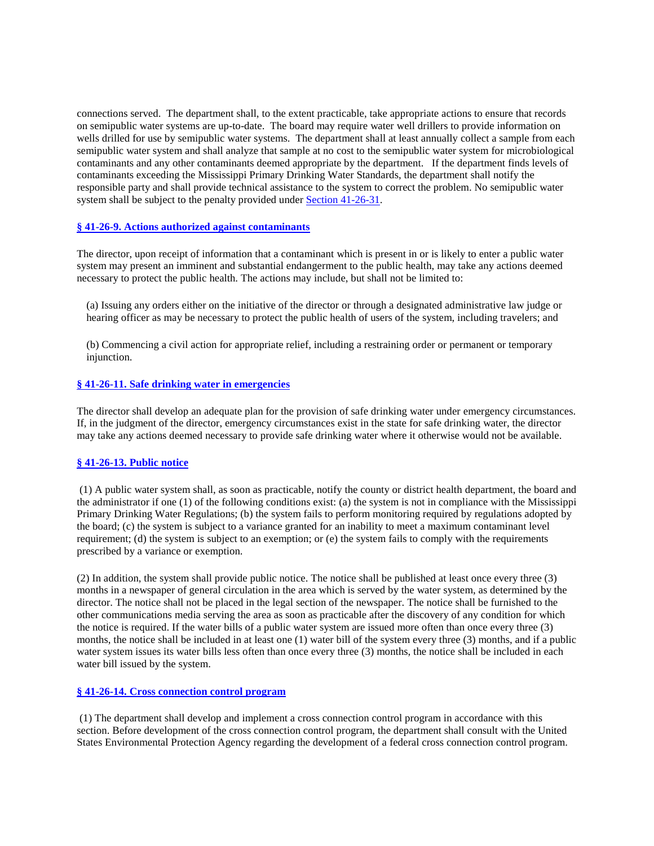connections served. The department shall, to the extent practicable, take appropriate actions to ensure that records on semipublic water systems are up-to-date. The board may require water well drillers to provide information on wells drilled for use by semipublic water systems. The department shall at least annually collect a sample from each semipublic water system and shall analyze that sample at no cost to the semipublic water system for microbiological contaminants and any other contaminants deemed appropriate by the department. If the department finds levels of contaminants exceeding the Mississippi Primary Drinking Water Standards, the department shall notify the responsible party and shall provide technical assistance to the system to correct the problem. No semipublic water system shall be subject to the penalty provided under Section 41-26-31.

### **§ 41-26-9. Actions authorized against contaminants**

The director, upon receipt of information that a contaminant which is present in or is likely to enter a public water system may present an imminent and substantial endangerment to the public health, may take any actions deemed necessary to protect the public health. The actions may include, but shall not be limited to:

(a) Issuing any orders either on the initiative of the director or through a designated administrative law judge or hearing officer as may be necessary to protect the public health of users of the system, including travelers; and

(b) Commencing a civil action for appropriate relief, including a restraining order or permanent or temporary injunction.

### **§ 41-26-11. Safe drinking water in emergencies**

The director shall develop an adequate plan for the provision of safe drinking water under emergency circumstances. If, in the judgment of the director, emergency circumstances exist in the state for safe drinking water, the director may take any actions deemed necessary to provide safe drinking water where it otherwise would not be available.

### **§ 41-26-13. Public notice**

 (1) A public water system shall, as soon as practicable, notify the county or district health department, the board and the administrator if one (1) of the following conditions exist: (a) the system is not in compliance with the Mississippi Primary Drinking Water Regulations; (b) the system fails to perform monitoring required by regulations adopted by the board; (c) the system is subject to a variance granted for an inability to meet a maximum contaminant level requirement; (d) the system is subject to an exemption; or (e) the system fails to comply with the requirements prescribed by a variance or exemption.

(2) In addition, the system shall provide public notice. The notice shall be published at least once every three (3) months in a newspaper of general circulation in the area which is served by the water system, as determined by the director. The notice shall not be placed in the legal section of the newspaper. The notice shall be furnished to the other communications media serving the area as soon as practicable after the discovery of any condition for which the notice is required. If the water bills of a public water system are issued more often than once every three (3) months, the notice shall be included in at least one (1) water bill of the system every three (3) months, and if a public water system issues its water bills less often than once every three (3) months, the notice shall be included in each water bill issued by the system.

#### **§ 41-26-14. Cross connection control program**

 (1) The department shall develop and implement a cross connection control program in accordance with this section. Before development of the cross connection control program, the department shall consult with the United States Environmental Protection Agency regarding the development of a federal cross connection control program.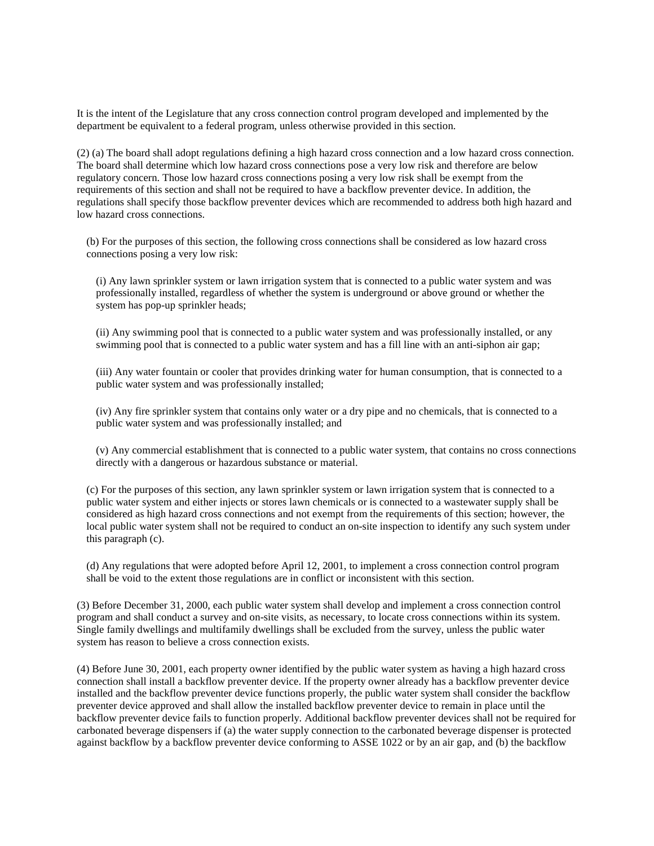It is the intent of the Legislature that any cross connection control program developed and implemented by the department be equivalent to a federal program, unless otherwise provided in this section.

(2) (a) The board shall adopt regulations defining a high hazard cross connection and a low hazard cross connection. The board shall determine which low hazard cross connections pose a very low risk and therefore are below regulatory concern. Those low hazard cross connections posing a very low risk shall be exempt from the requirements of this section and shall not be required to have a backflow preventer device. In addition, the regulations shall specify those backflow preventer devices which are recommended to address both high hazard and low hazard cross connections.

(b) For the purposes of this section, the following cross connections shall be considered as low hazard cross connections posing a very low risk:

(i) Any lawn sprinkler system or lawn irrigation system that is connected to a public water system and was professionally installed, regardless of whether the system is underground or above ground or whether the system has pop-up sprinkler heads;

(ii) Any swimming pool that is connected to a public water system and was professionally installed, or any swimming pool that is connected to a public water system and has a fill line with an anti-siphon air gap;

(iii) Any water fountain or cooler that provides drinking water for human consumption, that is connected to a public water system and was professionally installed;

(iv) Any fire sprinkler system that contains only water or a dry pipe and no chemicals, that is connected to a public water system and was professionally installed; and

(v) Any commercial establishment that is connected to a public water system, that contains no cross connections directly with a dangerous or hazardous substance or material.

(c) For the purposes of this section, any lawn sprinkler system or lawn irrigation system that is connected to a public water system and either injects or stores lawn chemicals or is connected to a wastewater supply shall be considered as high hazard cross connections and not exempt from the requirements of this section; however, the local public water system shall not be required to conduct an on-site inspection to identify any such system under this paragraph (c).

(d) Any regulations that were adopted before April 12, 2001, to implement a cross connection control program shall be void to the extent those regulations are in conflict or inconsistent with this section.

(3) Before December 31, 2000, each public water system shall develop and implement a cross connection control program and shall conduct a survey and on-site visits, as necessary, to locate cross connections within its system. Single family dwellings and multifamily dwellings shall be excluded from the survey, unless the public water system has reason to believe a cross connection exists.

(4) Before June 30, 2001, each property owner identified by the public water system as having a high hazard cross connection shall install a backflow preventer device. If the property owner already has a backflow preventer device installed and the backflow preventer device functions properly, the public water system shall consider the backflow preventer device approved and shall allow the installed backflow preventer device to remain in place until the backflow preventer device fails to function properly. Additional backflow preventer devices shall not be required for carbonated beverage dispensers if (a) the water supply connection to the carbonated beverage dispenser is protected against backflow by a backflow preventer device conforming to ASSE 1022 or by an air gap, and (b) the backflow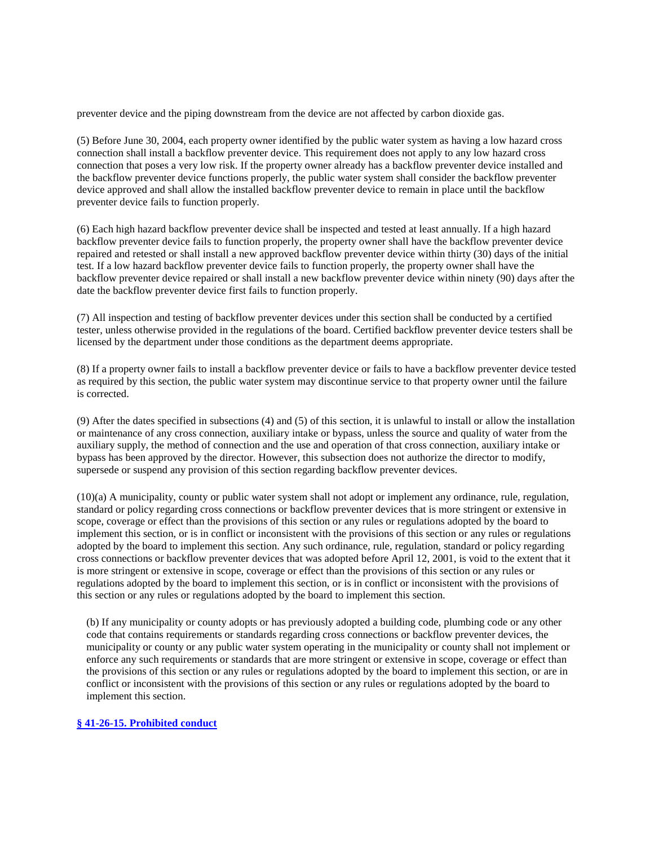preventer device and the piping downstream from the device are not affected by carbon dioxide gas.

(5) Before June 30, 2004, each property owner identified by the public water system as having a low hazard cross connection shall install a backflow preventer device. This requirement does not apply to any low hazard cross connection that poses a very low risk. If the property owner already has a backflow preventer device installed and the backflow preventer device functions properly, the public water system shall consider the backflow preventer device approved and shall allow the installed backflow preventer device to remain in place until the backflow preventer device fails to function properly.

(6) Each high hazard backflow preventer device shall be inspected and tested at least annually. If a high hazard backflow preventer device fails to function properly, the property owner shall have the backflow preventer device repaired and retested or shall install a new approved backflow preventer device within thirty (30) days of the initial test. If a low hazard backflow preventer device fails to function properly, the property owner shall have the backflow preventer device repaired or shall install a new backflow preventer device within ninety (90) days after the date the backflow preventer device first fails to function properly.

(7) All inspection and testing of backflow preventer devices under this section shall be conducted by a certified tester, unless otherwise provided in the regulations of the board. Certified backflow preventer device testers shall be licensed by the department under those conditions as the department deems appropriate.

(8) If a property owner fails to install a backflow preventer device or fails to have a backflow preventer device tested as required by this section, the public water system may discontinue service to that property owner until the failure is corrected.

(9) After the dates specified in subsections (4) and (5) of this section, it is unlawful to install or allow the installation or maintenance of any cross connection, auxiliary intake or bypass, unless the source and quality of water from the auxiliary supply, the method of connection and the use and operation of that cross connection, auxiliary intake or bypass has been approved by the director. However, this subsection does not authorize the director to modify, supersede or suspend any provision of this section regarding backflow preventer devices.

(10)(a) A municipality, county or public water system shall not adopt or implement any ordinance, rule, regulation, standard or policy regarding cross connections or backflow preventer devices that is more stringent or extensive in scope, coverage or effect than the provisions of this section or any rules or regulations adopted by the board to implement this section, or is in conflict or inconsistent with the provisions of this section or any rules or regulations adopted by the board to implement this section. Any such ordinance, rule, regulation, standard or policy regarding cross connections or backflow preventer devices that was adopted before April 12, 2001, is void to the extent that it is more stringent or extensive in scope, coverage or effect than the provisions of this section or any rules or regulations adopted by the board to implement this section, or is in conflict or inconsistent with the provisions of this section or any rules or regulations adopted by the board to implement this section.

(b) If any municipality or county adopts or has previously adopted a building code, plumbing code or any other code that contains requirements or standards regarding cross connections or backflow preventer devices, the municipality or county or any public water system operating in the municipality or county shall not implement or enforce any such requirements or standards that are more stringent or extensive in scope, coverage or effect than the provisions of this section or any rules or regulations adopted by the board to implement this section, or are in conflict or inconsistent with the provisions of this section or any rules or regulations adopted by the board to implement this section.

# **§ 41-26-15. Prohibited conduct**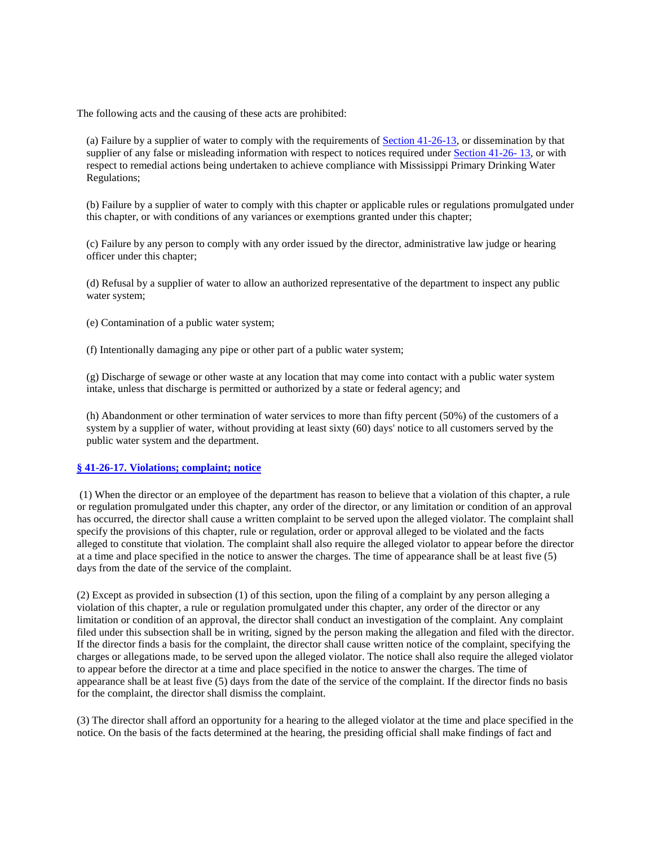The following acts and the causing of these acts are prohibited:

(a) Failure by a supplier of water to comply with the requirements of  $Section 41-26-13$ , or dissemination by that supplier of any false or misleading information with respect to notices required under Section 41-26-13, or with respect to remedial actions being undertaken to achieve compliance with Mississippi Primary Drinking Water Regulations;

(b) Failure by a supplier of water to comply with this chapter or applicable rules or regulations promulgated under this chapter, or with conditions of any variances or exemptions granted under this chapter;

(c) Failure by any person to comply with any order issued by the director, administrative law judge or hearing officer under this chapter;

(d) Refusal by a supplier of water to allow an authorized representative of the department to inspect any public water system;

(e) Contamination of a public water system;

(f) Intentionally damaging any pipe or other part of a public water system;

(g) Discharge of sewage or other waste at any location that may come into contact with a public water system intake, unless that discharge is permitted or authorized by a state or federal agency; and

(h) Abandonment or other termination of water services to more than fifty percent (50%) of the customers of a system by a supplier of water, without providing at least sixty (60) days' notice to all customers served by the public water system and the department.

### **§ 41-26-17. Violations; complaint; notice**

 (1) When the director or an employee of the department has reason to believe that a violation of this chapter, a rule or regulation promulgated under this chapter, any order of the director, or any limitation or condition of an approval has occurred, the director shall cause a written complaint to be served upon the alleged violator. The complaint shall specify the provisions of this chapter, rule or regulation, order or approval alleged to be violated and the facts alleged to constitute that violation. The complaint shall also require the alleged violator to appear before the director at a time and place specified in the notice to answer the charges. The time of appearance shall be at least five (5) days from the date of the service of the complaint.

(2) Except as provided in subsection (1) of this section, upon the filing of a complaint by any person alleging a violation of this chapter, a rule or regulation promulgated under this chapter, any order of the director or any limitation or condition of an approval, the director shall conduct an investigation of the complaint. Any complaint filed under this subsection shall be in writing, signed by the person making the allegation and filed with the director. If the director finds a basis for the complaint, the director shall cause written notice of the complaint, specifying the charges or allegations made, to be served upon the alleged violator. The notice shall also require the alleged violator to appear before the director at a time and place specified in the notice to answer the charges. The time of appearance shall be at least five (5) days from the date of the service of the complaint. If the director finds no basis for the complaint, the director shall dismiss the complaint.

(3) The director shall afford an opportunity for a hearing to the alleged violator at the time and place specified in the notice. On the basis of the facts determined at the hearing, the presiding official shall make findings of fact and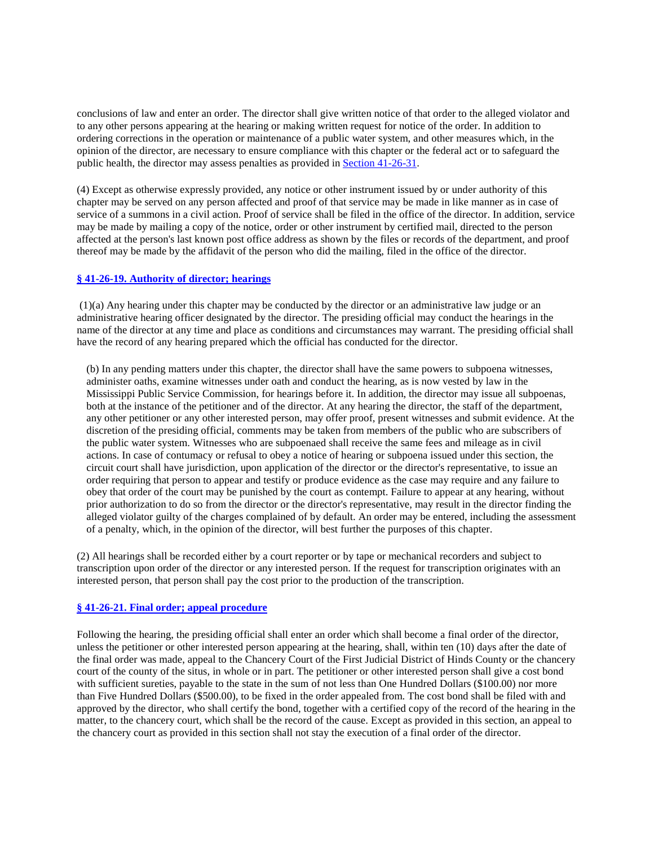conclusions of law and enter an order. The director shall give written notice of that order to the alleged violator and to any other persons appearing at the hearing or making written request for notice of the order. In addition to ordering corrections in the operation or maintenance of a public water system, and other measures which, in the opinion of the director, are necessary to ensure compliance with this chapter or the federal act or to safeguard the public health, the director may assess penalties as provided in Section 41-26-31.

(4) Except as otherwise expressly provided, any notice or other instrument issued by or under authority of this chapter may be served on any person affected and proof of that service may be made in like manner as in case of service of a summons in a civil action. Proof of service shall be filed in the office of the director. In addition, service may be made by mailing a copy of the notice, order or other instrument by certified mail, directed to the person affected at the person's last known post office address as shown by the files or records of the department, and proof thereof may be made by the affidavit of the person who did the mailing, filed in the office of the director.

### **§ 41-26-19. Authority of director; hearings**

 (1)(a) Any hearing under this chapter may be conducted by the director or an administrative law judge or an administrative hearing officer designated by the director. The presiding official may conduct the hearings in the name of the director at any time and place as conditions and circumstances may warrant. The presiding official shall have the record of any hearing prepared which the official has conducted for the director.

(b) In any pending matters under this chapter, the director shall have the same powers to subpoena witnesses, administer oaths, examine witnesses under oath and conduct the hearing, as is now vested by law in the Mississippi Public Service Commission, for hearings before it. In addition, the director may issue all subpoenas, both at the instance of the petitioner and of the director. At any hearing the director, the staff of the department, any other petitioner or any other interested person, may offer proof, present witnesses and submit evidence. At the discretion of the presiding official, comments may be taken from members of the public who are subscribers of the public water system. Witnesses who are subpoenaed shall receive the same fees and mileage as in civil actions. In case of contumacy or refusal to obey a notice of hearing or subpoena issued under this section, the circuit court shall have jurisdiction, upon application of the director or the director's representative, to issue an order requiring that person to appear and testify or produce evidence as the case may require and any failure to obey that order of the court may be punished by the court as contempt. Failure to appear at any hearing, without prior authorization to do so from the director or the director's representative, may result in the director finding the alleged violator guilty of the charges complained of by default. An order may be entered, including the assessment of a penalty, which, in the opinion of the director, will best further the purposes of this chapter.

(2) All hearings shall be recorded either by a court reporter or by tape or mechanical recorders and subject to transcription upon order of the director or any interested person. If the request for transcription originates with an interested person, that person shall pay the cost prior to the production of the transcription.

#### **§ 41-26-21. Final order; appeal procedure**

Following the hearing, the presiding official shall enter an order which shall become a final order of the director, unless the petitioner or other interested person appearing at the hearing, shall, within ten (10) days after the date of the final order was made, appeal to the Chancery Court of the First Judicial District of Hinds County or the chancery court of the county of the situs, in whole or in part. The petitioner or other interested person shall give a cost bond with sufficient sureties, payable to the state in the sum of not less than One Hundred Dollars (\$100.00) nor more than Five Hundred Dollars (\$500.00), to be fixed in the order appealed from. The cost bond shall be filed with and approved by the director, who shall certify the bond, together with a certified copy of the record of the hearing in the matter, to the chancery court, which shall be the record of the cause. Except as provided in this section, an appeal to the chancery court as provided in this section shall not stay the execution of a final order of the director.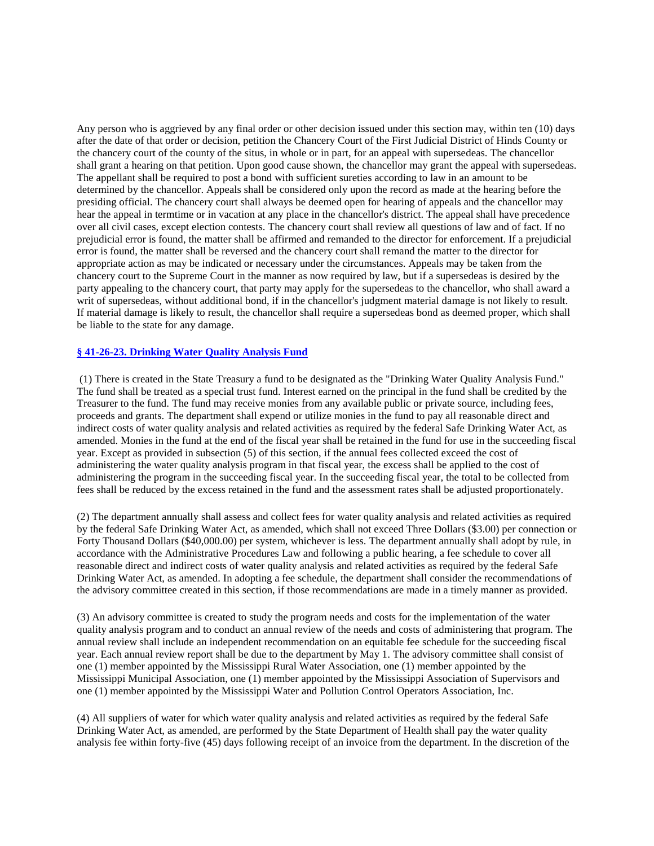Any person who is aggrieved by any final order or other decision issued under this section may, within ten (10) days after the date of that order or decision, petition the Chancery Court of the First Judicial District of Hinds County or the chancery court of the county of the situs, in whole or in part, for an appeal with supersedeas. The chancellor shall grant a hearing on that petition. Upon good cause shown, the chancellor may grant the appeal with supersedeas. The appellant shall be required to post a bond with sufficient sureties according to law in an amount to be determined by the chancellor. Appeals shall be considered only upon the record as made at the hearing before the presiding official. The chancery court shall always be deemed open for hearing of appeals and the chancellor may hear the appeal in termtime or in vacation at any place in the chancellor's district. The appeal shall have precedence over all civil cases, except election contests. The chancery court shall review all questions of law and of fact. If no prejudicial error is found, the matter shall be affirmed and remanded to the director for enforcement. If a prejudicial error is found, the matter shall be reversed and the chancery court shall remand the matter to the director for appropriate action as may be indicated or necessary under the circumstances. Appeals may be taken from the chancery court to the Supreme Court in the manner as now required by law, but if a supersedeas is desired by the party appealing to the chancery court, that party may apply for the supersedeas to the chancellor, who shall award a writ of supersedeas, without additional bond, if in the chancellor's judgment material damage is not likely to result. If material damage is likely to result, the chancellor shall require a supersedeas bond as deemed proper, which shall be liable to the state for any damage.

### **§ 41-26-23. Drinking Water Quality Analysis Fund**

 (1) There is created in the State Treasury a fund to be designated as the "Drinking Water Quality Analysis Fund." The fund shall be treated as a special trust fund. Interest earned on the principal in the fund shall be credited by the Treasurer to the fund. The fund may receive monies from any available public or private source, including fees, proceeds and grants. The department shall expend or utilize monies in the fund to pay all reasonable direct and indirect costs of water quality analysis and related activities as required by the federal Safe Drinking Water Act, as amended. Monies in the fund at the end of the fiscal year shall be retained in the fund for use in the succeeding fiscal year. Except as provided in subsection (5) of this section, if the annual fees collected exceed the cost of administering the water quality analysis program in that fiscal year, the excess shall be applied to the cost of administering the program in the succeeding fiscal year. In the succeeding fiscal year, the total to be collected from fees shall be reduced by the excess retained in the fund and the assessment rates shall be adjusted proportionately.

(2) The department annually shall assess and collect fees for water quality analysis and related activities as required by the federal Safe Drinking Water Act, as amended, which shall not exceed Three Dollars (\$3.00) per connection or Forty Thousand Dollars (\$40,000.00) per system, whichever is less. The department annually shall adopt by rule, in accordance with the Administrative Procedures Law and following a public hearing, a fee schedule to cover all reasonable direct and indirect costs of water quality analysis and related activities as required by the federal Safe Drinking Water Act, as amended. In adopting a fee schedule, the department shall consider the recommendations of the advisory committee created in this section, if those recommendations are made in a timely manner as provided.

(3) An advisory committee is created to study the program needs and costs for the implementation of the water quality analysis program and to conduct an annual review of the needs and costs of administering that program. The annual review shall include an independent recommendation on an equitable fee schedule for the succeeding fiscal year. Each annual review report shall be due to the department by May 1. The advisory committee shall consist of one (1) member appointed by the Mississippi Rural Water Association, one (1) member appointed by the Mississippi Municipal Association, one (1) member appointed by the Mississippi Association of Supervisors and one (1) member appointed by the Mississippi Water and Pollution Control Operators Association, Inc.

(4) All suppliers of water for which water quality analysis and related activities as required by the federal Safe Drinking Water Act, as amended, are performed by the State Department of Health shall pay the water quality analysis fee within forty-five (45) days following receipt of an invoice from the department. In the discretion of the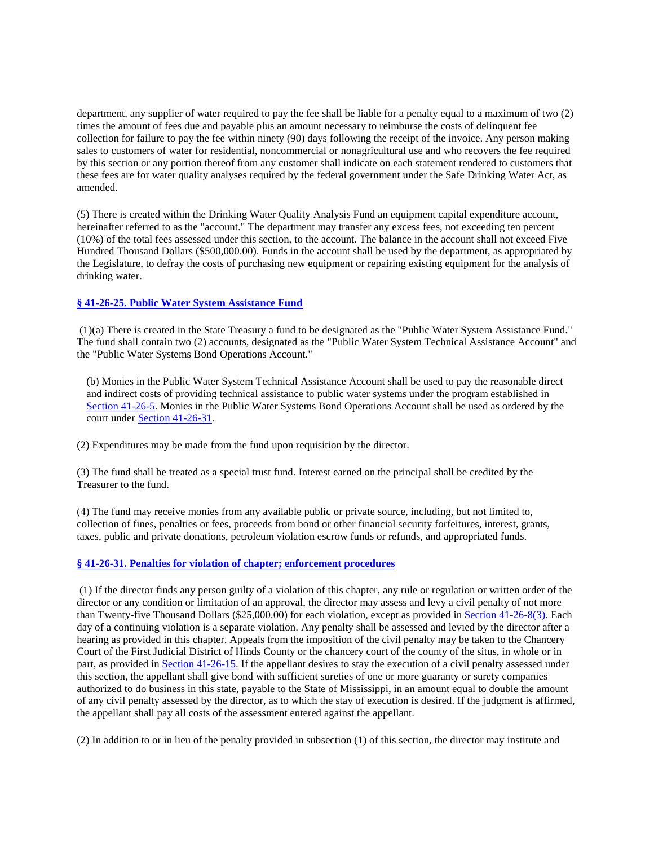department, any supplier of water required to pay the fee shall be liable for a penalty equal to a maximum of two (2) times the amount of fees due and payable plus an amount necessary to reimburse the costs of delinquent fee collection for failure to pay the fee within ninety (90) days following the receipt of the invoice. Any person making sales to customers of water for residential, noncommercial or nonagricultural use and who recovers the fee required by this section or any portion thereof from any customer shall indicate on each statement rendered to customers that these fees are for water quality analyses required by the federal government under the Safe Drinking Water Act, as amended.

(5) There is created within the Drinking Water Quality Analysis Fund an equipment capital expenditure account, hereinafter referred to as the "account." The department may transfer any excess fees, not exceeding ten percent (10%) of the total fees assessed under this section, to the account. The balance in the account shall not exceed Five Hundred Thousand Dollars (\$500,000.00). Funds in the account shall be used by the department, as appropriated by the Legislature, to defray the costs of purchasing new equipment or repairing existing equipment for the analysis of drinking water.

# **§ 41-26-25. Public Water System Assistance Fund**

 (1)(a) There is created in the State Treasury a fund to be designated as the "Public Water System Assistance Fund." The fund shall contain two (2) accounts, designated as the "Public Water System Technical Assistance Account" and the "Public Water Systems Bond Operations Account."

(b) Monies in the Public Water System Technical Assistance Account shall be used to pay the reasonable direct and indirect costs of providing technical assistance to public water systems under the program established in Section 41-26-5. Monies in the Public Water Systems Bond Operations Account shall be used as ordered by the court under Section 41-26-31.

(2) Expenditures may be made from the fund upon requisition by the director.

(3) The fund shall be treated as a special trust fund. Interest earned on the principal shall be credited by the Treasurer to the fund.

(4) The fund may receive monies from any available public or private source, including, but not limited to, collection of fines, penalties or fees, proceeds from bond or other financial security forfeitures, interest, grants, taxes, public and private donations, petroleum violation escrow funds or refunds, and appropriated funds.

# **§ 41-26-31. Penalties for violation of chapter; enforcement procedures**

 (1) If the director finds any person guilty of a violation of this chapter, any rule or regulation or written order of the director or any condition or limitation of an approval, the director may assess and levy a civil penalty of not more than Twenty-five Thousand Dollars (\$25,000.00) for each violation, except as provided in Section 41-26-8(3). Each day of a continuing violation is a separate violation. Any penalty shall be assessed and levied by the director after a hearing as provided in this chapter. Appeals from the imposition of the civil penalty may be taken to the Chancery Court of the First Judicial District of Hinds County or the chancery court of the county of the situs, in whole or in part, as provided in Section 41-26-15. If the appellant desires to stay the execution of a civil penalty assessed under this section, the appellant shall give bond with sufficient sureties of one or more guaranty or surety companies authorized to do business in this state, payable to the State of Mississippi, in an amount equal to double the amount of any civil penalty assessed by the director, as to which the stay of execution is desired. If the judgment is affirmed, the appellant shall pay all costs of the assessment entered against the appellant.

(2) In addition to or in lieu of the penalty provided in subsection (1) of this section, the director may institute and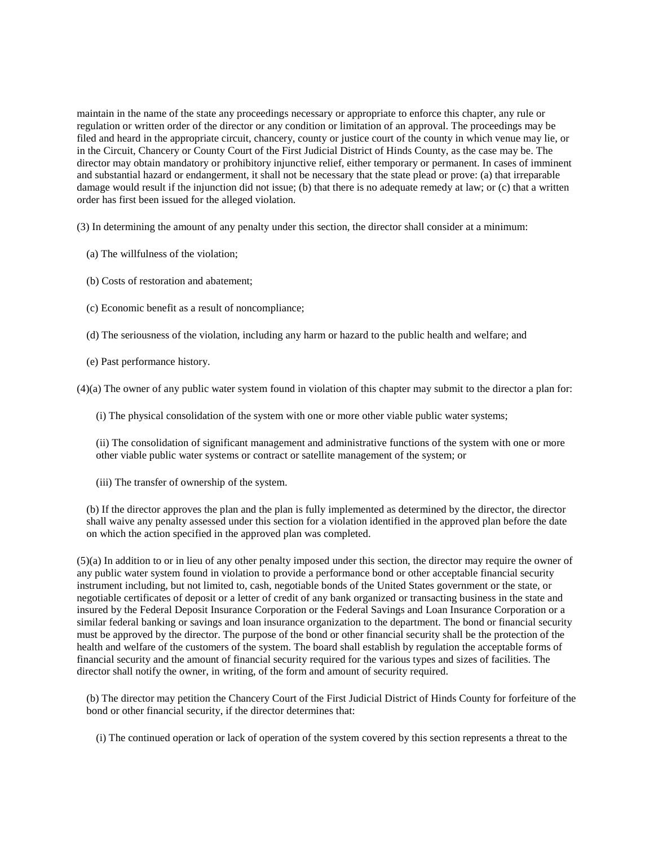maintain in the name of the state any proceedings necessary or appropriate to enforce this chapter, any rule or regulation or written order of the director or any condition or limitation of an approval. The proceedings may be filed and heard in the appropriate circuit, chancery, county or justice court of the county in which venue may lie, or in the Circuit, Chancery or County Court of the First Judicial District of Hinds County, as the case may be. The director may obtain mandatory or prohibitory injunctive relief, either temporary or permanent. In cases of imminent and substantial hazard or endangerment, it shall not be necessary that the state plead or prove: (a) that irreparable damage would result if the injunction did not issue; (b) that there is no adequate remedy at law; or (c) that a written order has first been issued for the alleged violation.

(3) In determining the amount of any penalty under this section, the director shall consider at a minimum:

- (a) The willfulness of the violation;
- (b) Costs of restoration and abatement;
- (c) Economic benefit as a result of noncompliance;
- (d) The seriousness of the violation, including any harm or hazard to the public health and welfare; and
- (e) Past performance history.

(4)(a) The owner of any public water system found in violation of this chapter may submit to the director a plan for:

(i) The physical consolidation of the system with one or more other viable public water systems;

(ii) The consolidation of significant management and administrative functions of the system with one or more other viable public water systems or contract or satellite management of the system; or

(iii) The transfer of ownership of the system.

(b) If the director approves the plan and the plan is fully implemented as determined by the director, the director shall waive any penalty assessed under this section for a violation identified in the approved plan before the date on which the action specified in the approved plan was completed.

(5)(a) In addition to or in lieu of any other penalty imposed under this section, the director may require the owner of any public water system found in violation to provide a performance bond or other acceptable financial security instrument including, but not limited to, cash, negotiable bonds of the United States government or the state, or negotiable certificates of deposit or a letter of credit of any bank organized or transacting business in the state and insured by the Federal Deposit Insurance Corporation or the Federal Savings and Loan Insurance Corporation or a similar federal banking or savings and loan insurance organization to the department. The bond or financial security must be approved by the director. The purpose of the bond or other financial security shall be the protection of the health and welfare of the customers of the system. The board shall establish by regulation the acceptable forms of financial security and the amount of financial security required for the various types and sizes of facilities. The director shall notify the owner, in writing, of the form and amount of security required.

(b) The director may petition the Chancery Court of the First Judicial District of Hinds County for forfeiture of the bond or other financial security, if the director determines that:

(i) The continued operation or lack of operation of the system covered by this section represents a threat to the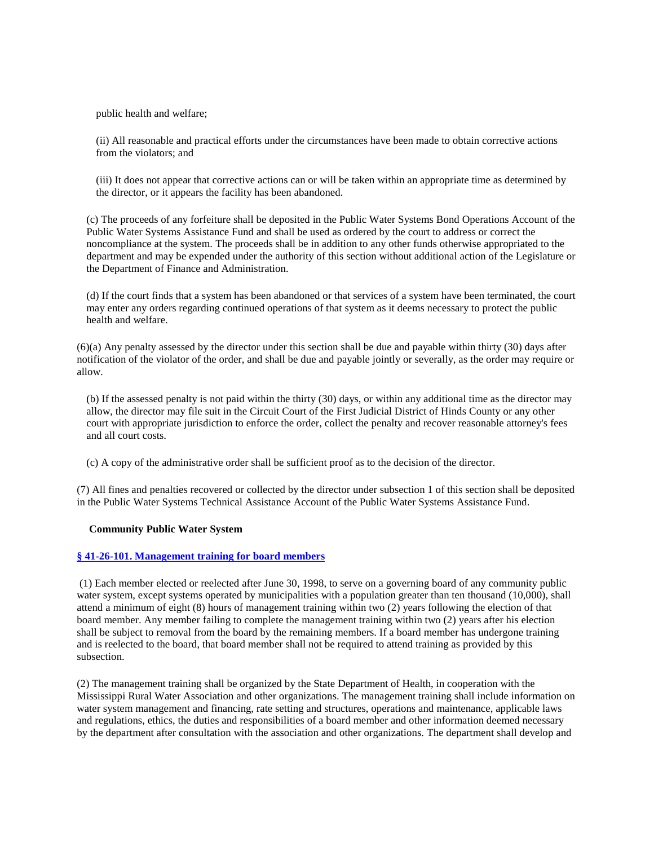public health and welfare;

(ii) All reasonable and practical efforts under the circumstances have been made to obtain corrective actions from the violators; and

(iii) It does not appear that corrective actions can or will be taken within an appropriate time as determined by the director, or it appears the facility has been abandoned.

(c) The proceeds of any forfeiture shall be deposited in the Public Water Systems Bond Operations Account of the Public Water Systems Assistance Fund and shall be used as ordered by the court to address or correct the noncompliance at the system. The proceeds shall be in addition to any other funds otherwise appropriated to the department and may be expended under the authority of this section without additional action of the Legislature or the Department of Finance and Administration.

(d) If the court finds that a system has been abandoned or that services of a system have been terminated, the court may enter any orders regarding continued operations of that system as it deems necessary to protect the public health and welfare.

(6)(a) Any penalty assessed by the director under this section shall be due and payable within thirty (30) days after notification of the violator of the order, and shall be due and payable jointly or severally, as the order may require or allow.

(b) If the assessed penalty is not paid within the thirty (30) days, or within any additional time as the director may allow, the director may file suit in the Circuit Court of the First Judicial District of Hinds County or any other court with appropriate jurisdiction to enforce the order, collect the penalty and recover reasonable attorney's fees and all court costs.

(c) A copy of the administrative order shall be sufficient proof as to the decision of the director.

(7) All fines and penalties recovered or collected by the director under subsection 1 of this section shall be deposited in the Public Water Systems Technical Assistance Account of the Public Water Systems Assistance Fund.

#### **Community Public Water System**

#### **§ 41-26-101. Management training for board members**

 (1) Each member elected or reelected after June 30, 1998, to serve on a governing board of any community public water system, except systems operated by municipalities with a population greater than ten thousand (10,000), shall attend a minimum of eight (8) hours of management training within two (2) years following the election of that board member. Any member failing to complete the management training within two (2) years after his election shall be subject to removal from the board by the remaining members. If a board member has undergone training and is reelected to the board, that board member shall not be required to attend training as provided by this subsection.

(2) The management training shall be organized by the State Department of Health, in cooperation with the Mississippi Rural Water Association and other organizations. The management training shall include information on water system management and financing, rate setting and structures, operations and maintenance, applicable laws and regulations, ethics, the duties and responsibilities of a board member and other information deemed necessary by the department after consultation with the association and other organizations. The department shall develop and